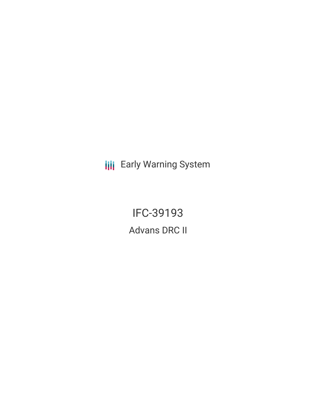**III** Early Warning System

IFC-39193 Advans DRC II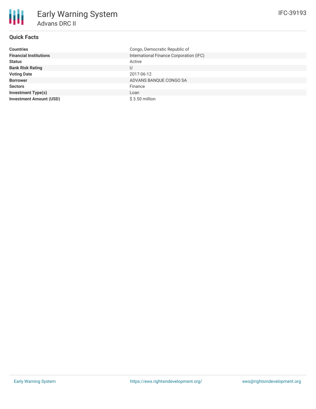# **Quick Facts**

冊

| <b>Countries</b>               | Congo, Democratic Republic of           |
|--------------------------------|-----------------------------------------|
| <b>Financial Institutions</b>  | International Finance Corporation (IFC) |
| <b>Status</b>                  | Active                                  |
| <b>Bank Risk Rating</b>        | U                                       |
| <b>Voting Date</b>             | 2017-06-12                              |
| <b>Borrower</b>                | ADVANS BANQUE CONGO SA                  |
| <b>Sectors</b>                 | Finance                                 |
| <b>Investment Type(s)</b>      | Loan                                    |
| <b>Investment Amount (USD)</b> | $$3.50$ million                         |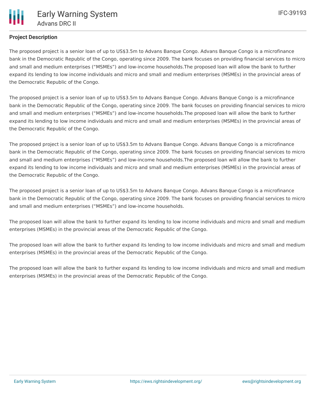## **Project Description**

The proposed project is a senior loan of up to US\$3.5m to Advans Banque Congo. Advans Banque Congo is a microfinance bank in the Democratic Republic of the Congo, operating since 2009. The bank focuses on providing financial services to micro and small and medium enterprises ("MSMEs") and low-income households.The proposed loan will allow the bank to further expand its lending to low income individuals and micro and small and medium enterprises (MSMEs) in the provincial areas of the Democratic Republic of the Congo.

The proposed project is a senior loan of up to US\$3.5m to Advans Banque Congo. Advans Banque Congo is a microfinance bank in the Democratic Republic of the Congo, operating since 2009. The bank focuses on providing financial services to micro and small and medium enterprises ("MSMEs") and low-income households.The proposed loan will allow the bank to further expand its lending to low income individuals and micro and small and medium enterprises (MSMEs) in the provincial areas of the Democratic Republic of the Congo.

The proposed project is a senior loan of up to US\$3.5m to Advans Banque Congo. Advans Banque Congo is a microfinance bank in the Democratic Republic of the Congo, operating since 2009. The bank focuses on providing financial services to micro and small and medium enterprises ("MSMEs") and low-income households.The proposed loan will allow the bank to further expand its lending to low income individuals and micro and small and medium enterprises (MSMEs) in the provincial areas of the Democratic Republic of the Congo.

The proposed project is a senior loan of up to US\$3.5m to Advans Banque Congo. Advans Banque Congo is a microfinance bank in the Democratic Republic of the Congo, operating since 2009. The bank focuses on providing financial services to micro and small and medium enterprises ("MSMEs") and low-income households.

The proposed loan will allow the bank to further expand its lending to low income individuals and micro and small and medium enterprises (MSMEs) in the provincial areas of the Democratic Republic of the Congo.

The proposed loan will allow the bank to further expand its lending to low income individuals and micro and small and medium enterprises (MSMEs) in the provincial areas of the Democratic Republic of the Congo.

The proposed loan will allow the bank to further expand its lending to low income individuals and micro and small and medium enterprises (MSMEs) in the provincial areas of the Democratic Republic of the Congo.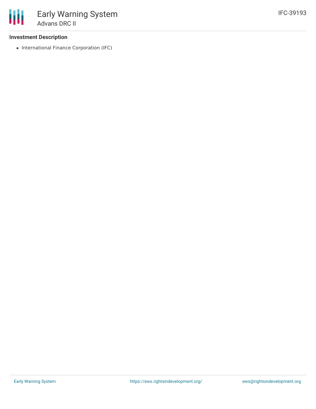#### **Investment Description**

• International Finance Corporation (IFC)